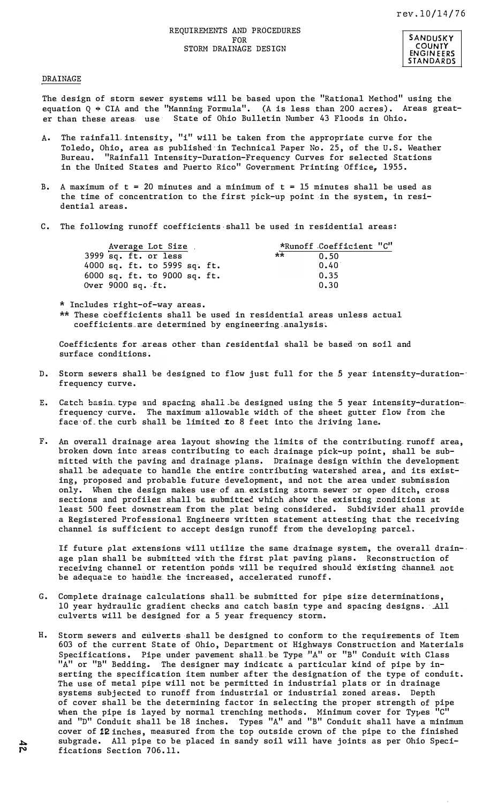REQUIREMENTS AND PROCEDURES FOR STORM DRAINAGE DESIGN



## DRAINAGE

The design of storm sewer systems will be based upon the "Rational Method" using the equation Q  $\div$  CIA and the "Manning Formula". (A is less than 200 acres). Areas greater than these areas. use State of Ohio Bulletin Number 43 Floods in Ohio.

- A. The rainfall. intensity, "i" will be taken from the appropriate curve for the Toledo, Ohio, area as published· in Technical Paper No. 25, of the U.S. Weather Bureau. "Rainfall Intensity-Duration-Frequency Curves for selected Stations in the United States and Puerto Rico" Government Printing Office, 1955.
- B. A maximum of  $t = 20$  minutes and a minimum of  $t = 15$  minutes shall be used as the time of concentration to the first pick-up point in the system, in residential areas.
- C. The following runoff coefficients shall be used in residential areas:

| Average Lot Size     |                                  | *Runoff Coefficient "C" |
|----------------------|----------------------------------|-------------------------|
| 3999 sq. ft. or less |                                  | **<br>0.50              |
|                      | 4000 sq. ft. to $5999$ sq. ft.   | 0.40                    |
|                      | 6000 $sq.$ ft. to 9000 $sq.$ ft. | 0.35                    |
| Over $9000$ sq. ft.  |                                  | 0.30                    |

\* Includes right-of-way areas.

\*\* These coefficients shall be used in residential areas unless actual coefficients are determined by engineering analysis.

Coefficients for areas other than residential shall be based on soil and surface conditions.

- D. Storm sewers shall be designed to flow just full for the 5 year intensity-durationfrequency curve.·
- E. Catch basin type and spacing shall be designed using the 5 year intensity-durationfrequency curve. Ihe maximum allowable width of the sheet-gutter-flow from the face of the curb-shall be limited to 8 feet into the driving lane.
- F. An overall drainage area layout showing-the limits of the contributing runoff area, broken down into areas contributing to each drainage pick-up point, shall be submitted .with the paving and drainage:plans�: .Drainage·design within.the development shall be adequate to handlethe entire-contributing watershed area, and its existing, proposed and probable future development, and not the area under submission only. When the design makes use of an existing storm sewer or open ditch, cross sections and profiles shall be submitted which show the existing conditions at least 500 feet downstream from the plat being considered. Subdivider shall provide a Registered.Professional Engineers,written statement attesting-that the receiving channel is sufficient to accept design runoff from the developing parcel.

If future plat extensions will utilize the same drainage system, the overall drainage plan shall be submitted with the first plat paving plans. - Reconstruction of receiving channel or retention ponds. will be, required. should: "existing: channel. not be adequate:to:handlesthe increased, eccelerated runoff.

- G. Complete drainage calculations shall be submitted for pipe size determinations, 10 year hydraulic gradient checks and catch basin type and spacing designs. All culverts.will be designed for a.5 year frequency storm.
- H. Storm sewers and culverts shall be designed to conform to the requirements of Item · 603 of the current State of Ohio, Department of Highways Construction and Materials Specifications. Pipe under pavement shall be Type "A" or "B" Conduit with Class "A" or "B" Bedding. The designer may indicate a particular kind of pipe by inserting the specification item number after·the designation of the type of conduit. The use of metal pipe will not be permitted in industrial plats or in drainage systems subjected to runoff from industrial or industrial zoned areas. Depth of cover shall be the determining factor in selecting the proper strength of pipe when the pipe is layed by normal trenching methods. Minimum cover for Types "C" and "D" Conduit shall be 18 inches. Types "A" and "B" Conduit shall have a minimum cover of 12 inches, measured from the top outside crown of the pipe to the finished subgrade. All pipe to be placed in sandy soil will have joints as per Ohio Speci-<br> **P** fications Section 706.11. fications Section 706.11.